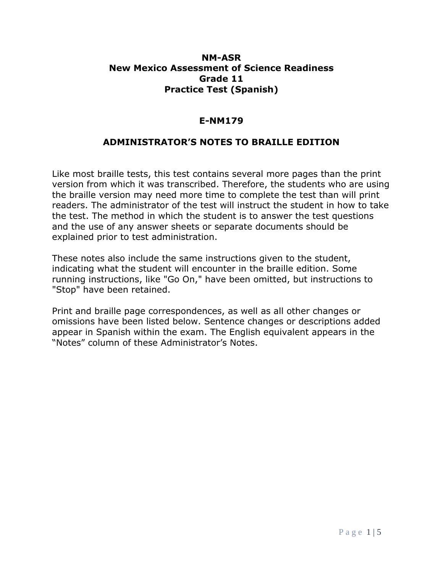## **NM-ASR New Mexico Assessment of Science Readiness Grade 11 Practice Test (Spanish)**

## **E-NM179**

## **ADMINISTRATOR'S NOTES TO BRAILLE EDITION**

Like most braille tests, this test contains several more pages than the print version from which it was transcribed. Therefore, the students who are using the braille version may need more time to complete the test than will print readers. The administrator of the test will instruct the student in how to take the test. The method in which the student is to answer the test questions and the use of any answer sheets or separate documents should be explained prior to test administration.

These notes also include the same instructions given to the student, indicating what the student will encounter in the braille edition. Some running instructions, like "Go On," have been omitted, but instructions to "Stop" have been retained.

Print and braille page correspondences, as well as all other changes or omissions have been listed below. Sentence changes or descriptions added appear in Spanish within the exam. The English equivalent appears in the "Notes" column of these Administrator's Notes.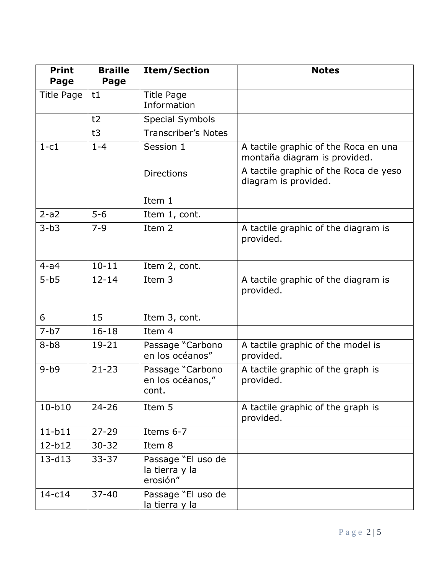| <b>Print</b><br>Page | <b>Braille</b><br>Page | <b>Item/Section</b>                              | <b>Notes</b>                                                         |
|----------------------|------------------------|--------------------------------------------------|----------------------------------------------------------------------|
| Title Page           | t1                     | Title Page<br>Information                        |                                                                      |
|                      | t2                     | <b>Special Symbols</b>                           |                                                                      |
|                      | t3                     | <b>Transcriber's Notes</b>                       |                                                                      |
| $1-c1$               | $1 - 4$                | Session 1                                        | A tactile graphic of the Roca en una<br>montaña diagram is provided. |
|                      |                        | <b>Directions</b>                                | A tactile graphic of the Roca de yeso<br>diagram is provided.        |
|                      |                        | Item 1                                           |                                                                      |
| $2-a2$               | $5-6$                  | Item 1, cont.                                    |                                                                      |
| $3-b3$               | $7 - 9$                | Item 2                                           | A tactile graphic of the diagram is<br>provided.                     |
| $4-a4$               | $10 - 11$              | Item 2, cont.                                    |                                                                      |
| $5-b5$               | $12 - 14$              | Item 3                                           | A tactile graphic of the diagram is<br>provided.                     |
| 6                    | 15                     | Item 3, cont.                                    |                                                                      |
| $7-b7$               | $16 - 18$              | Item 4                                           |                                                                      |
| $8-b8$               | $19 - 21$              | Passage "Carbono<br>en los océanos"              | A tactile graphic of the model is<br>provided.                       |
| $9-b9$               | $21 - 23$              | Passage "Carbono<br>en los océanos,"<br>cont.    | A tactile graphic of the graph is<br>provided.                       |
| $10-b10$             | $24 - 26$              | Item 5                                           | A tactile graphic of the graph is<br>provided.                       |
| $11-b11$             | $27 - 29$              | Items 6-7                                        |                                                                      |
| $12-b12$             | $30 - 32$              | Item 8                                           |                                                                      |
| $13 - d13$           | $33 - 37$              | Passage "El uso de<br>la tierra y la<br>erosión" |                                                                      |
| $14-c14$             | $37 - 40$              | Passage "El uso de<br>la tierra y la             |                                                                      |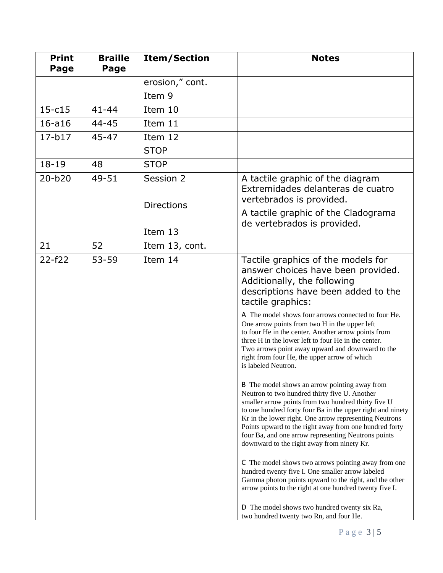| <b>Print</b><br>Page | <b>Braille</b><br>Page | <b>Item/Section</b>            | <b>Notes</b>                                                                                                                                                                                                                                                                                                                                                                                                                                 |
|----------------------|------------------------|--------------------------------|----------------------------------------------------------------------------------------------------------------------------------------------------------------------------------------------------------------------------------------------------------------------------------------------------------------------------------------------------------------------------------------------------------------------------------------------|
|                      |                        | erosion," cont.                |                                                                                                                                                                                                                                                                                                                                                                                                                                              |
|                      |                        | Item 9                         |                                                                                                                                                                                                                                                                                                                                                                                                                                              |
| $15-c15$             | $41 - 44$              | Item 10                        |                                                                                                                                                                                                                                                                                                                                                                                                                                              |
| $16 - a16$           | $44 - 45$              | Item 11                        |                                                                                                                                                                                                                                                                                                                                                                                                                                              |
| $17-b17$             | $45 - 47$              | Item 12                        |                                                                                                                                                                                                                                                                                                                                                                                                                                              |
|                      |                        | <b>STOP</b>                    |                                                                                                                                                                                                                                                                                                                                                                                                                                              |
| $18 - 19$            | 48                     | <b>STOP</b>                    |                                                                                                                                                                                                                                                                                                                                                                                                                                              |
| $20 - b20$           | 49-51                  | Session 2<br><b>Directions</b> | A tactile graphic of the diagram<br>Extremidades delanteras de cuatro<br>vertebrados is provided.                                                                                                                                                                                                                                                                                                                                            |
|                      |                        | Item 13                        | A tactile graphic of the Cladograma<br>de vertebrados is provided.                                                                                                                                                                                                                                                                                                                                                                           |
| 21                   | 52                     | Item 13, cont.                 |                                                                                                                                                                                                                                                                                                                                                                                                                                              |
| $22 - f22$           | $53 - 59$              | Item 14                        | Tactile graphics of the models for<br>answer choices have been provided.<br>Additionally, the following<br>descriptions have been added to the<br>tactile graphics:                                                                                                                                                                                                                                                                          |
|                      |                        |                                | A The model shows four arrows connected to four He.<br>One arrow points from two H in the upper left<br>to four He in the center. Another arrow points from<br>three H in the lower left to four He in the center.<br>Two arrows point away upward and downward to the<br>right from four He, the upper arrow of which<br>is labeled Neutron.                                                                                                |
|                      |                        |                                | B The model shows an arrow pointing away from<br>Neutron to two hundred thirty five U. Another<br>smaller arrow points from two hundred thirty five U<br>to one hundred forty four Ba in the upper right and ninety<br>Kr in the lower right. One arrow representing Neutrons<br>Points upward to the right away from one hundred forty<br>four Ba, and one arrow representing Neutrons points<br>downward to the right away from ninety Kr. |
|                      |                        |                                | C The model shows two arrows pointing away from one<br>hundred twenty five I. One smaller arrow labeled<br>Gamma photon points upward to the right, and the other<br>arrow points to the right at one hundred twenty five I.                                                                                                                                                                                                                 |
|                      |                        |                                | D The model shows two hundred twenty six Ra,<br>two hundred twenty two Rn, and four He.                                                                                                                                                                                                                                                                                                                                                      |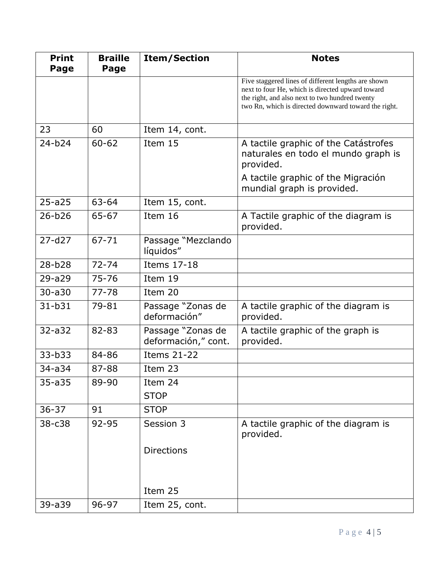| <b>Print</b><br>Page | <b>Braille</b><br>Page | <b>Item/Section</b>                      | <b>Notes</b>                                                                                                                                                                                                      |
|----------------------|------------------------|------------------------------------------|-------------------------------------------------------------------------------------------------------------------------------------------------------------------------------------------------------------------|
|                      |                        |                                          | Five staggered lines of different lengths are shown<br>next to four He, which is directed upward toward<br>the right, and also next to two hundred twenty<br>two Rn, which is directed downward toward the right. |
| 23                   | 60                     | Item 14, cont.                           |                                                                                                                                                                                                                   |
| $24-b24$             | $60 - 62$              | Item 15                                  | A tactile graphic of the Catástrofes<br>naturales en todo el mundo graph is<br>provided.                                                                                                                          |
|                      |                        |                                          | A tactile graphic of the Migración<br>mundial graph is provided.                                                                                                                                                  |
| $25 - a25$           | 63-64                  | Item 15, cont.                           |                                                                                                                                                                                                                   |
| $26 - b26$           | 65-67                  | Item 16                                  | A Tactile graphic of the diagram is<br>provided.                                                                                                                                                                  |
| $27 - d27$           | $67 - 71$              | Passage "Mezclando<br>líquidos"          |                                                                                                                                                                                                                   |
| $28 - b28$           | $72 - 74$              | <b>Items 17-18</b>                       |                                                                                                                                                                                                                   |
| $29 - a29$           | $75 - 76$              | Item 19                                  |                                                                                                                                                                                                                   |
| $30 - a30$           | $77 - 78$              | Item 20                                  |                                                                                                                                                                                                                   |
| $31 - b31$           | 79-81                  | Passage "Zonas de<br>deformación"        | A tactile graphic of the diagram is<br>provided.                                                                                                                                                                  |
| $32 - a32$           | 82-83                  | Passage "Zonas de<br>deformación," cont. | A tactile graphic of the graph is<br>provided.                                                                                                                                                                    |
| 33-b33               | 84-86                  | <b>Items 21-22</b>                       |                                                                                                                                                                                                                   |
| $34 - a34$           | 87-88                  | Item 23                                  |                                                                                                                                                                                                                   |
| $35 - a35$           | 89-90                  | Item 24                                  |                                                                                                                                                                                                                   |
|                      |                        | <b>STOP</b>                              |                                                                                                                                                                                                                   |
| $36 - 37$            | 91                     | <b>STOP</b>                              |                                                                                                                                                                                                                   |
| 38-c38               | 92-95                  | Session 3                                | A tactile graphic of the diagram is<br>provided.                                                                                                                                                                  |
|                      |                        | <b>Directions</b>                        |                                                                                                                                                                                                                   |
|                      |                        | Item 25                                  |                                                                                                                                                                                                                   |
| 39-a39               | 96-97                  | Item 25, cont.                           |                                                                                                                                                                                                                   |